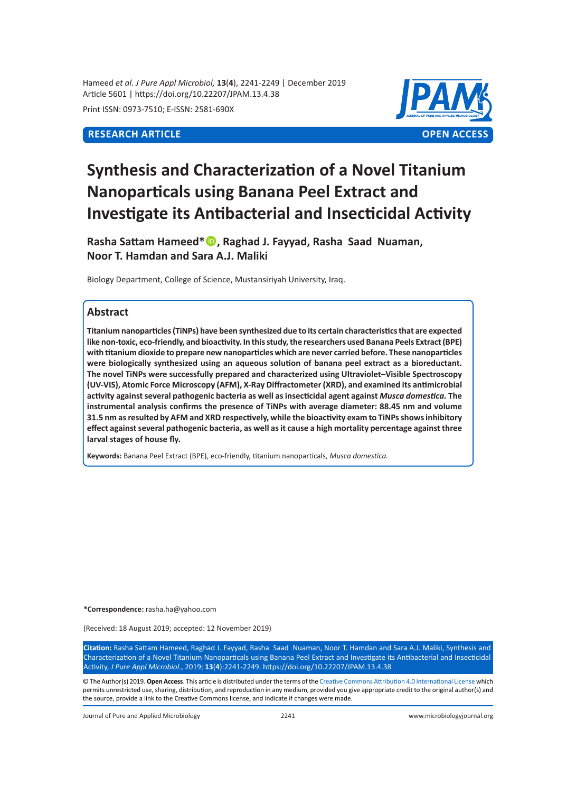Hameed *et al. J Pure Appl Microbiol,* **13**(**4**), 2241-2249 | December 2019 Article 5601 | https://doi.org/10.22207/JPAM.13.4.38

Print ISSN: 0973-7510; E-ISSN: 2581-690X



# **Synthesis and Characterization of a Novel Titanium Nanoparticals using Banana Peel Extract and Investigate its Antibacterial and Insecticidal Activity**

**Rasha Sattam Hameed\*, Raghad J. Fayyad, Rasha Saad Nuaman, Noor T. Hamdan and Sara A.J. Maliki**

Biology Department, College of Science, Mustansiriyah University, Iraq.

# **Abstract**

**Titanium nanoparticles (TiNPs) have been synthesized due to its certain characteristics that are expected like non-toxic, eco-friendly, and bioactivity. In this study, the researchers used Banana Peels Extract (BPE) with titanium dioxide to prepare new nanoparticles which are never carried before. These nanoparticles were biologically synthesized using an aqueous solution of banana peel extract as a bioreductant. The novel TiNPs were successfully prepared and characterized using Ultraviolet–Visible Spectroscopy (UV-VIS), Atomic Force Microscopy (AFM), X-Ray Diffractometer (XRD), and examined its antimicrobial activity against several pathogenic bacteria as well as insecticidal agent against** *Musca domestica.* **The instrumental analysis confirms the presence of TiNPs with average diameter: 88.45 nm and volume 31.5 nm as resulted by AFM and XRD respectively, while the bioactivity exam to TiNPs shows inhibitory effect against several pathogenic bacteria, as well as it cause a high mortality percentage against three larval stages of house fly.** 

**Keywords:** Banana Peel Extract (BPE), eco-friendly, titanium nanoparticals, *Musca domestica.*

**\*Correspondence:** rasha.ha@yahoo.com

(Received: 18 August 2019; accepted: 12 November 2019)

**Citation:** Rasha Sattam Hameed, Raghad J. Fayyad, Rasha Saad Nuaman, Noor T. Hamdan and Sara A.J. Maliki, Synthesis and Characterization of a Novel Titanium Nanoparticals using Banana Peel Extract and Investigate its Antibacterial and Insecticidal Activity, *J Pure Appl Microbiol*., 2019; **13**(**4**):2241-2249. https://doi.org/10.22207/JPAM.13.4.38

© The Author(s) 2019. **Open Access**. This article is distributed under the terms of the [Creative Commons Attribution 4.0 International License](https://creativecommons.org/licenses/by/4.0/) which permits unrestricted use, sharing, distribution, and reproduction in any medium, provided you give appropriate credit to the original author(s) and the source, provide a link to the Creative Commons license, and indicate if changes were made.

Journal of Pure and Applied Microbiology 2241 www.microbiologyjournal.org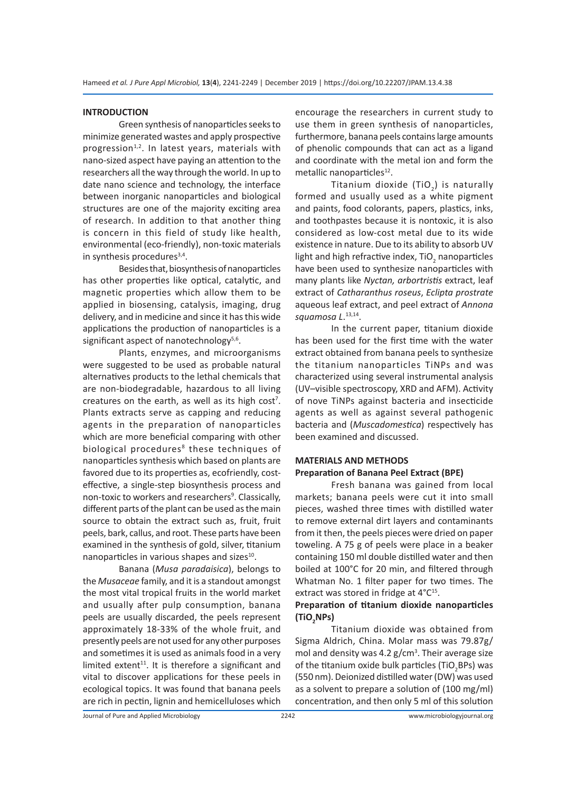#### **INTRODUCTION**

Green synthesis of nanoparticles seeks to minimize generated wastes and apply prospective progression $1,2$ . In latest years, materials with nano-sized aspect have paying an attention to the researchers all the way through the world. In up to date nano science and technology, the interface between inorganic nanoparticles and biological structures are one of the majority exciting area of research. In addition to that another thing is concern in this field of study like health, environmental (eco-friendly), non-toxic materials in synthesis procedures $3,4$ .

Besides that, biosynthesis of nanoparticles has other properties like optical, catalytic, and magnetic properties which allow them to be applied in biosensing, catalysis, imaging, drug delivery, and in medicine and since it has this wide applications the production of nanoparticles is a significant aspect of nanotechnology $5,6$ .

Plants, enzymes, and microorganisms were suggested to be used as probable natural alternatives products to the lethal chemicals that are non-biodegradable, hazardous to all living creatures on the earth, as well as its high  $cost<sup>7</sup>$ . Plants extracts serve as capping and reducing agents in the preparation of nanoparticles which are more beneficial comparing with other biological procedures<sup>8</sup> these techniques of nanoparticles synthesis which based on plants are favored due to its properties as, ecofriendly, costeffective, a single-step biosynthesis process and non-toxic to workers and researchers<sup>9</sup>. Classically, different parts of the plant can be used as the main source to obtain the extract such as, fruit, fruit peels, bark, callus, and root. These parts have been examined in the synthesis of gold, silver, titanium nanoparticles in various shapes and sizes<sup>10</sup>.

Banana (*Musa paradaisica*), belongs to the *Musaceae* family, and it is a standout amongst the most vital tropical fruits in the world market and usually after pulp consumption, banana peels are usually discarded, the peels represent approximately 18-33% of the whole fruit, and presently peels are not used for any other purposes and sometimes it is used as animals food in a very limited extent $11$ . It is therefore a significant and vital to discover applications for these peels in ecological topics. It was found that banana peels are rich in pectin, lignin and hemicelluloses which encourage the researchers in current study to use them in green synthesis of nanoparticles, furthermore, banana peels contains large amounts of phenolic compounds that can act as a ligand and coordinate with the metal ion and form the metallic nanoparticles<sup>12</sup>.

Titanium dioxide (TiO $_{_2}$ ) is naturally formed and usually used as a white pigment and paints, food colorants, papers, plastics, inks, and toothpastes because it is nontoxic, it is also considered as low-cost metal due to its wide existence in nature. Due to its ability to absorb UV light and high refractive index, TiO $_2$  nanoparticles have been used to synthesize nanoparticles with many plants like *Nyctan, arbortristis* extract, leaf extract of *Catharanthus roseus*, *Eclipta prostrate* aqueous leaf extract, and peel extract of *Annona squamosa L*. 13,14.

In the current paper, titanium dioxide has been used for the first time with the water extract obtained from banana peels to synthesize the titanium nanoparticles TiNPs and was characterized using several instrumental analysis (UV–visible spectroscopy, XRD and AFM). Activity of nove TiNPs against bacteria and insecticide agents as well as against several pathogenic bacteria and (*Muscadomestica*) respectively has been examined and discussed.

# **MATERIALS AND METHODS**

# **Preparation of Banana Peel Extract (BPE)**

Fresh banana was gained from local markets; banana peels were cut it into small pieces, washed three times with distilled water to remove external dirt layers and contaminants from it then, the peels pieces were dried on paper toweling. A 75 g of peels were place in a beaker containing 150 ml double distilled water and then boiled at 100°C for 20 min, and filtered through Whatman No. 1 filter paper for two times. The extract was stored in fridge at 4°C<sup>15</sup>.

# **Preparation of titanium dioxide nanoparticles (TiO<sup>2</sup> NPs)**

Titanium dioxide was obtained from Sigma Aldrich, China. Molar mass was 79.87g/ mol and density was 4.2  $g/cm<sup>3</sup>$ . Their average size of the titanium oxide bulk particles (TiO<sub>2</sub>BPs) was (550 nm). Deionized distilled water (DW) was used as a solvent to prepare a solution of (100 mg/ml) concentration, and then only 5 ml of this solution

Journal of Pure and Applied Microbiology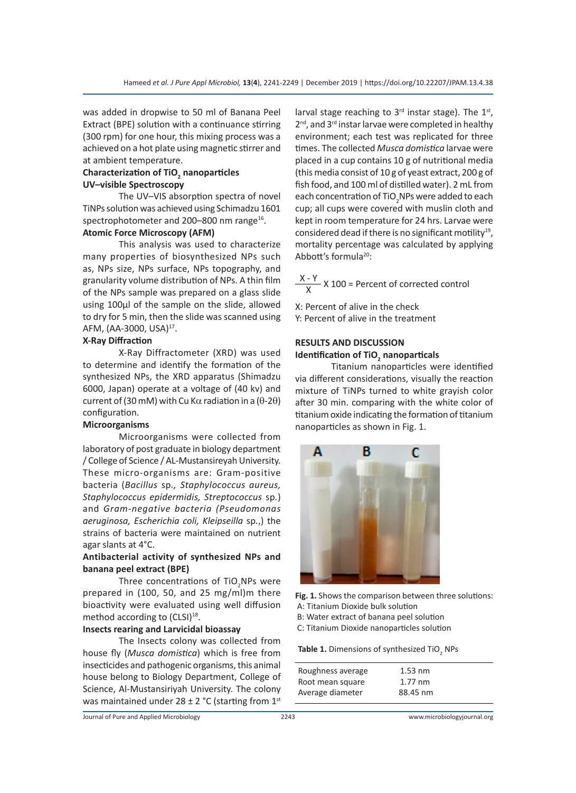was added in dropwise to 50 ml of Banana Peel Extract (BPE) solution with a continuance stirring (300 rpm) for one hour, this mixing process was a achieved on a hot plate using magnetic stirrer and at ambient temperature.

#### **Characterization of TiO<sup>2</sup> nanoparticles UV–visible Spectroscopy**

The UV–VIS absorption spectra of novel TiNPs solution was achieved using Schimadzu 1601 spectrophotometer and 200-800 nm range<sup>16</sup>.

### **Atomic Force Microscopy (AFM)**

This analysis was used to characterize many properties of biosynthesized NPs such as, NPs size, NPs surface, NPs topography, and granularity volume distribution of NPs. A thin film of the NPs sample was prepared on a glass slide using 100µl of the sample on the slide, allowed to dry for 5 min, then the slide was scanned using AFM, (AA-3000, USA)<sup>17</sup>.

#### **X-Ray Diffraction**

X-Ray Diffractometer (XRD) was used to determine and identify the formation of the synthesized NPs, the XRD apparatus (Shimadzu 6000, Japan) operate at a voltage of (40 kv) and current of (30 mM) with Cu Kα radiation in a (θ-2θ) configuration.

#### **Microorganisms**

Microorganisms were collected from laboratory of post graduate in biology department / College of Science / AL-Mustansireyah University. These micro-organisms are: Gram-positive bacteria (*Bacillus* sp*., Staphylococcus aureus, Staphylococcus epidermidis, Streptococcus* sp*.*) and *Gram-negative bacteria (Pseudomonas aeruginosa, Escherichia coli, Kleipseilla* sp*.*,) the strains of bacteria were maintained on nutrient agar slants at 4°C.

### **Antibacterial activity of synthesized NPs and banana peel extract (BPE)**

Three concentrations of TiO<sub>2</sub>NPs were prepared in (100, 50, and 25 mg/ml)m there bioactivity were evaluated using well diffusion method according to (CLSI)<sup>18</sup>.

#### **Insects rearing and Larvicidal bioassay**

The Insects colony was collected from house fly (*Musca domistica*) which is free from insecticides and pathogenic organisms, this animal house belong to Biology Department, College of Science, Al-Mustansiriyah University. The colony was maintained under  $28 \pm 2$  °C (starting from  $1<sup>st</sup>$  larval stage reaching to  $3<sup>rd</sup>$  instar stage). The  $1<sup>st</sup>$ ,  $2<sup>nd</sup>$ , and  $3<sup>rd</sup>$  instar larvae were completed in healthy environment; each test was replicated for three times. The collected *Musca domistica* larvae were placed in a cup contains 10 g of nutritional media (this media consist of 10 g of yeast extract, 200 g of fish food, and 100 ml of distilled water). 2 mL from each concentration of TiO $\rm _2$ NPs were added to each cup; all cups were covered with muslin cloth and kept in room temperature for 24 hrs. Larvae were considered dead if there is no significant motility<sup>19</sup>, mortality percentage was calculated by applying Abbott's formula<sup>20</sup>:

 $\frac{X-Y}{X}$  X 100 = Percent of corrected control

X: Percent of alive in the check

Y: Percent of alive in the treatment

# **RESULTS AND DISCUSSION**

# **Identification of TiO<sup>2</sup> nanoparticals**

Titanium nanoparticles were identified via different considerations, visually the reaction mixture of TiNPs turned to white grayish color after 30 min. comparing with the white color of titanium oxide indicating the formation of titanium nanoparticles as shown in Fig. 1.



**Fig. 1.** Shows the comparison between three solutions: A: Titanium Dioxide bulk solution

- B: Water extract of banana peel solution
- C: Titanium Dioxide nanoparticles solution

**Table 1.** Dimensions of synthesized TiO<sub>2</sub> NPs

| Roughness average<br>Root mean square | $1.53$ nm<br>$1.77 \text{ nm}$ |  |
|---------------------------------------|--------------------------------|--|
| Average diameter                      | 88.45 nm                       |  |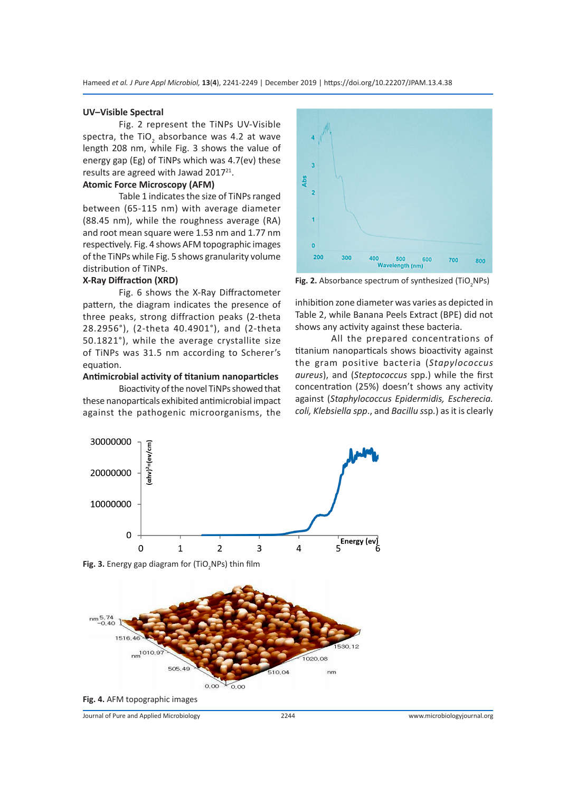#### **UV–Visible Spectral**

Fig. 2 represent the TiNPs UV-Visible spectra, the TiO<sub>2</sub> absorbance was 4.2 at wave length 208 nm, while Fig. 3 shows the value of energy gap (Eg) of TiNPs which was 4.7(ev) these results are agreed with Jawad 2017<sup>21</sup>.

#### **Atomic Force Microscopy (AFM)**

Table 1 indicates the size of TiNPs ranged between (65-115 nm) with average diameter (88.45 nm), while the roughness average (RA) and root mean square were 1.53 nm and 1.77 nm respectively. Fig. 4 shows AFM topographic images of the TiNPs while Fig. 5 shows granularity volume distribution of TiNPs.

#### **X-Ray Diffraction (XRD)**

Fig. 6 shows the X-Ray Diffractometer pattern, the diagram indicates the presence of three peaks, strong diffraction peaks (2-theta 28.2956°), (2-theta 40.4901°), and (2-theta 50.1821°), while the average crystallite size of TiNPs was 31.5 nm according to Scherer's equation.

#### **Antimicrobial activity of titanium nanoparticles**

Bioactivity of the novel TiNPs showed that these nanoparticals exhibited antimicrobial impact against the pathogenic microorganisms, the



**Fig. 2.** Absorbance spectrum of synthesized (TiO<sub>2</sub>NPs)

inhibition zone diameter was varies as depicted in Table 2, while Banana Peels Extract (BPE) did not shows any activity against these bacteria.

All the prepared concentrations of titanium nanoparticals shows bioactivity against the gram positive bacteria (*Stapylococcus aureus*), and (*Steptococcus* spp.) while the first concentration (25%) doesn't shows any activity against (*Staphylococcus Epidermidis, Escherecia. coli, Klebsiella spp*., and *Bacillu s*sp*.*) as it is clearly



**Fig. 3.** Energy gap diagram for (TiO<sub>2</sub>NPs) thin film



**Fig. 4.** AFM topographic images

Journal of Pure and Applied Microbiology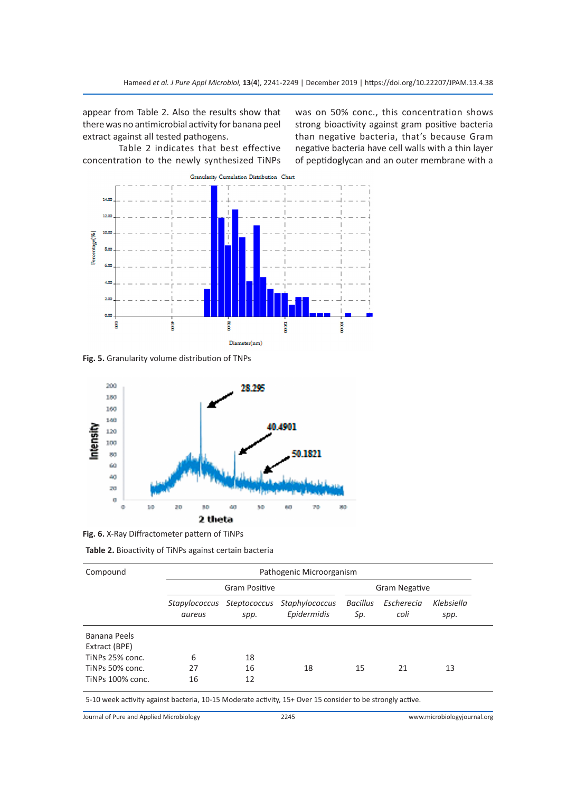appear from Table 2. Also the results show that there was no antimicrobial activity for banana peel extract against all tested pathogens.

Table 2 indicates that best effective concentration to the newly synthesized TiNPs was on 50% conc., this concentration shows strong bioactivity against gram positive bacteria than negative bacteria, that's because Gram negative bacteria have cell walls with a thin layer of peptidoglycan and an outer membrane with a



**Fig. 5.** Granularity volume distribution of TNPs



**Fig. 6.** X-Ray Diffractometer pattern of TiNPs

| Table 2. Bioactivity of TiNPs against certain bacteria |  |  |  |
|--------------------------------------------------------|--|--|--|
|--------------------------------------------------------|--|--|--|

| Compound                                                                                                  | Pathogenic Microorganism |                      |                               |                        |                    |                    |  |  |
|-----------------------------------------------------------------------------------------------------------|--------------------------|----------------------|-------------------------------|------------------------|--------------------|--------------------|--|--|
|                                                                                                           | Gram Positive            |                      |                               | <b>Gram Negative</b>   |                    |                    |  |  |
|                                                                                                           | Stapylococcus<br>aureus  | Steptococcus<br>spp. | Staphylococcus<br>Epidermidis | <b>Bacillus</b><br>Sp. | Escherecia<br>coli | Klebsiella<br>spp. |  |  |
| Banana Peels                                                                                              |                          |                      |                               |                        |                    |                    |  |  |
| Extract (BPE)                                                                                             |                          |                      |                               |                        |                    |                    |  |  |
| TINPs 25% conc.                                                                                           | 6                        | 18                   |                               |                        |                    |                    |  |  |
| TINPs 50% conc.                                                                                           | 27                       | 16                   | 18                            | 15                     | 21                 | 13                 |  |  |
| TINPs 100% conc.                                                                                          | 16                       | 12                   |                               |                        |                    |                    |  |  |
| 5-10 week activity against bacteria, 10-15 Moderate activity, 15+ Over 15 consider to be strongly active. |                          |                      |                               |                        |                    |                    |  |  |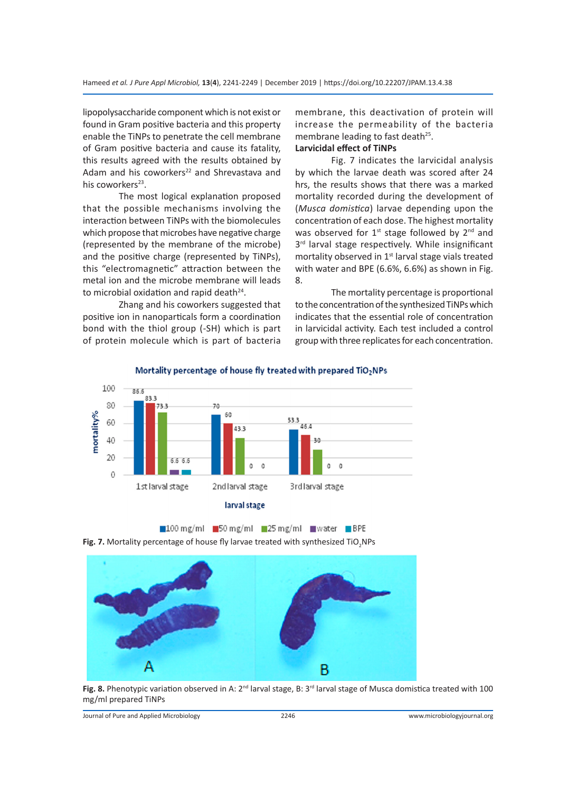lipopolysaccharide component which is not exist or found in Gram positive bacteria and this property enable the TiNPs to penetrate the cell membrane of Gram positive bacteria and cause its fatality, this results agreed with the results obtained by Adam and his coworkers<sup>22</sup> and Shrevastava and his coworkers $23$ .

The most logical explanation proposed that the possible mechanisms involving the interaction between TiNPs with the biomolecules which propose that microbes have negative charge (represented by the membrane of the microbe) and the positive charge (represented by TiNPs), this "electromagnetic" attraction between the metal ion and the microbe membrane will leads to microbial oxidation and rapid death $24$ .

Zhang and his coworkers suggested that positive ion in nanoparticals form a coordination bond with the thiol group (-SH) which is part of protein molecule which is part of bacteria membrane, this deactivation of protein will increase the permeability of the bacteria membrane leading to fast death<sup>25</sup>. **Larvicidal effect of TiNPs**

# Fig. 7 indicates the larvicidal analysis by which the larvae death was scored after 24 hrs, the results shows that there was a marked mortality recorded during the development of (*Musca domistica*) larvae depending upon the concentration of each dose. The highest mortality was observed for  $1<sup>st</sup>$  stage followed by  $2<sup>nd</sup>$  and  $3<sup>rd</sup>$  larval stage respectively. While insignificant mortality observed in  $1<sup>st</sup>$  larval stage vials treated with water and BPE (6.6%, 6.6%) as shown in Fig. 8.

The mortality percentage is proportional to the concentration of the synthesized TiNPs which indicates that the essential role of concentration in larvicidal activity. Each test included a control group with three replicates for each concentration.



Mortality percentage of house fly treated with prepared TiO<sub>2</sub>NPs





Fig. 8. Phenotypic variation observed in A: 2<sup>nd</sup> larval stage, B: 3<sup>rd</sup> larval stage of Musca domistica treated with 100 mg/ml prepared TiNPs

Journal of Pure and Applied Microbiology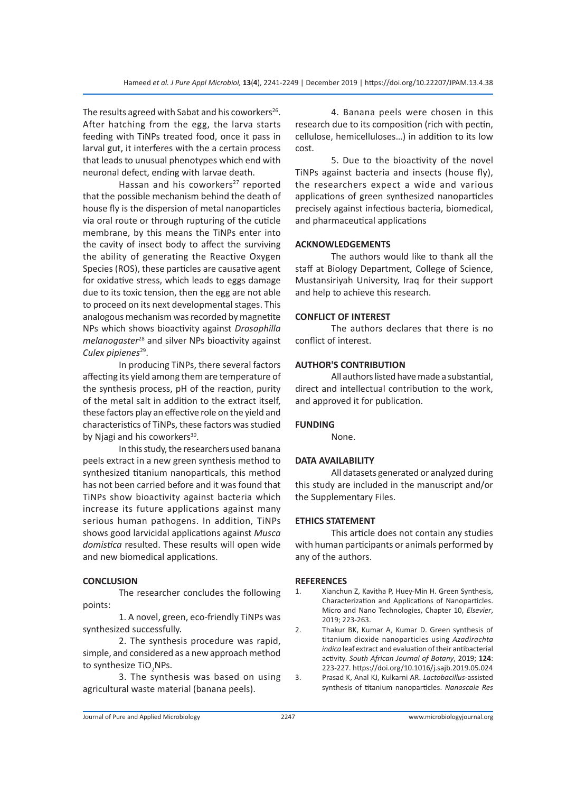The results agreed with Sabat and his coworkers<sup>26</sup>. After hatching from the egg, the larva starts feeding with TiNPs treated food, once it pass in larval gut, it interferes with the a certain process that leads to unusual phenotypes which end with neuronal defect, ending with larvae death.

Hassan and his coworkers<sup>27</sup> reported that the possible mechanism behind the death of house fly is the dispersion of metal nanoparticles via oral route or through rupturing of the cuticle membrane, by this means the TiNPs enter into the cavity of insect body to affect the surviving the ability of generating the Reactive Oxygen Species (ROS), these particles are causative agent for oxidative stress, which leads to eggs damage due to its toxic tension, then the egg are not able to proceed on its next developmental stages. This analogous mechanism was recorded by magnetite NPs which shows bioactivity against *Drosophilla melanogaster*<sup>28</sup> and silver NPs bioactivity against Culex pipienes<sup>29</sup>.

In producing TiNPs, there several factors affecting its yield among them are temperature of the synthesis process, pH of the reaction, purity of the metal salt in addition to the extract itself, these factors play an effective role on the yield and characteristics of TiNPs, these factors was studied by Njagi and his coworkers<sup>30</sup>.

In this study, the researchers used banana peels extract in a new green synthesis method to synthesized titanium nanoparticals, this method has not been carried before and it was found that TiNPs show bioactivity against bacteria which increase its future applications against many serious human pathogens. In addition, TiNPs shows good larvicidal applications against *Musca domistica* resulted. These results will open wide and new biomedical applications.

#### **CONCLUSION**

The researcher concludes the following points:

1. A novel, green, eco-friendly TiNPs was synthesized successfully.

2. The synthesis procedure was rapid, simple, and considered as a new approach method to synthesize TiO<sub>2</sub>NPs.

3. The synthesis was based on using agricultural waste material (banana peels).

4. Banana peels were chosen in this research due to its composition (rich with pectin, cellulose, hemicelluloses…) in addition to its low cost.

5. Due to the bioactivity of the novel TiNPs against bacteria and insects (house fly), the researchers expect a wide and various applications of green synthesized nanoparticles precisely against infectious bacteria, biomedical, and pharmaceutical applications

#### **ACKNOWLEDGEMENTS**

The authors would like to thank all the staff at Biology Department, College of Science, Mustansiriyah University, Iraq for their support and help to achieve this research.

#### **CONFLICT OF INTEREST**

The authors declares that there is no conflict of interest.

#### **AUTHOR'S CONTRIBUTION**

All authors listed have made a substantial, direct and intellectual contribution to the work, and approved it for publication.

#### **FUNDING**

None.

#### **DATA AVAILABILITY**

All datasets generated or analyzed during this study are included in the manuscript and/or the Supplementary Files.

#### **ETHICS STATEMENT**

This article does not contain any studies with human participants or animals performed by any of the authors.

#### **REFERENCES**

1. Xianchun Z, Kavitha P, Huey-Min H. Green Synthesis, Characterization and Applications of Nanoparticles. Micro and Nano Technologies, Chapter 10, *Elsevier*, 2019; 223-263.

2. Thakur BK, Kumar A, Kumar D. Green synthesis of titanium dioxide nanoparticles using *Azadirachta indica* leaf extract and evaluation of their antibacterial activity. *South African Journal of Botany*, 2019; **124**: 223-227. https://doi.org/10.1016/j.sajb.2019.05.024

3. Prasad K, Anal KJ, Kulkarni AR. *Lactobacillus-*assisted synthesis of titanium nanoparticles. *Nanoscale Res*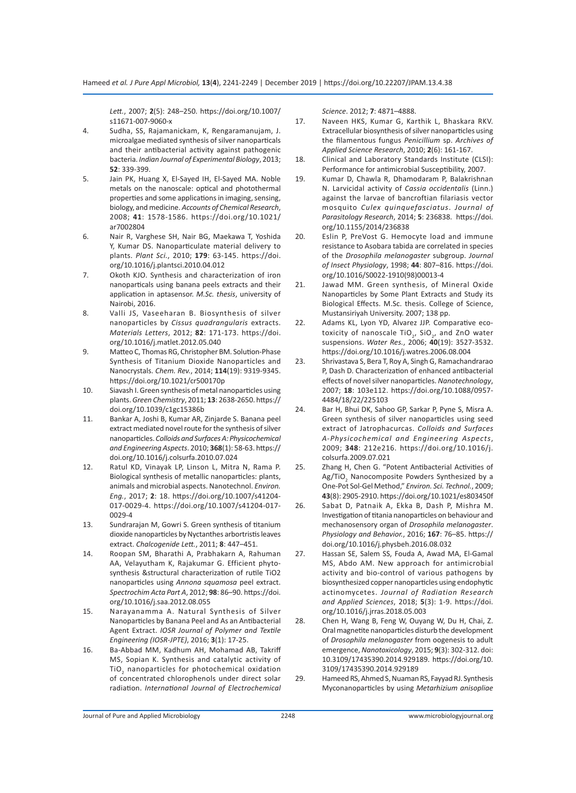*Lett.*, 2007; **2**(5): 248–250. https://doi.org/10.1007/ s11671-007-9060-x

- 4. Sudha, SS, Rajamanickam, K, Rengaramanujam, J. microalgae mediated synthesis of silver nanoparticals and their antibacterial activity against pathogenic bacteria. *Indian Journal of Experimental Biology*, 2013; **52**: 339-399.
- 5. Jain PK, Huang X, El-Sayed IH, El-Sayed MA. Noble metals on the nanoscale: optical and photothermal properties and some applications in imaging, sensing, biology, and medicine. *Accounts of Chemical Research*, 2008; **41**: 1578-1586. https://doi.org/10.1021/ ar7002804
- 6. Nair R, Varghese SH, Nair BG, Maekawa T, Yoshida Y, Kumar DS. Nanoparticulate material delivery to plants. *Plant Sci.*, 2010; **179**: 63-145. https://doi. org/10.1016/j.plantsci.2010.04.012
- 7. Okoth KJO. Synthesis and characterization of iron nanoparticals using banana peels extracts and their application in aptasensor. *M.Sc. thesis*, university of Nairobi, 2016.
- 8. Valli JS, Vaseeharan B. Biosynthesis of silver nanoparticles by *Cissus quadrangularis* extracts. *Materials Letters*, 2012; **82**: 171-173. https://doi. org/10.1016/j.matlet.2012.05.040
- 9. Matteo C, Thomas RG, Christopher BM. Solution-Phase Synthesis of Titanium Dioxide Nanoparticles and Nanocrystals. *Chem. Rev.*, 2014; **114**(19): 9319-9345. https://doi.org/10.1021/cr500170p
- 10. Siavash I. Green synthesis of metal nanoparticles using plants. *Green Chemistry*, 2011; **13**: 2638-2650. https:// doi.org/10.1039/c1gc15386b
- 11. Bankar A, Joshi B, Kumar AR, Zinjarde S. Banana peel extract mediated novel route for the synthesis of silver nanoparticles. *Colloids and Surfaces A: Physicochemical and Engineering Aspects*. 2010; **368**(1): 58-63. https:// doi.org/10.1016/j.colsurfa.2010.07.024
- 12. Ratul KD, Vinayak LP, Linson L, Mitra N, Rama P. Biological synthesis of metallic nanoparticles: plants, animals and microbial aspects. Nanotechnol. *Environ. Eng.*, 2017; **2**: 18. https://doi.org/10.1007/s41204- 017-0029-4. https://doi.org/10.1007/s41204-017- 0029-4
- 13. Sundrarajan M, Gowri S. Green synthesis of titanium dioxide nanoparticles by Nyctanthes arbortristis leaves extract. *Chalcogenide Lett.*, 2011; **8**: 447–451.
- 14. Roopan SM, Bharathi A, Prabhakarn A, Rahuman AA, Velayutham K, Rajakumar G. Efficient phytosynthesis &structural characterization of rutile TiO2 nanoparticles using *Annona squamosa* peel extract. *Spectrochim Acta Part A*, 2012; **98**: 86–90. https://doi. org/10.1016/j.saa.2012.08.055
- 15. Narayanamma A. Natural Synthesis of Silver Nanoparticles by Banana Peel and As an Antibacterial Agent Extract. *IOSR Journal of Polymer and Textile Engineering (IOSR-JPTE)*, 2016; **3**(1): 17-25.
- 16. Ba-Abbad MM, Kadhum AH, Mohamad AB, Takriff MS, Sopian K. Synthesis and catalytic activity of TiO<sub>2</sub> nanoparticles for photochemical oxidation of concentrated chlorophenols under direct solar radiation. *International Journal of Electrochemical*

*Science*. 2012; **7**: 4871–4888.

- 17. Naveen HKS, Kumar G, Karthik L, Bhaskara RKV. Extracellular biosynthesis of silver nanoparticles using the filamentous fungus *Penicillium* sp. *Archives of Applied Science Research*, 2010; **2**(6): 161-167.
- 18. Clinical and Laboratory Standards Institute (CLSI): Performance for antimicrobial Susceptibility, 2007.
- 19. Kumar D, Chawla R, Dhamodaram P, Balakrishnan N. Larvicidal activity of *Cassia occidentalis* (Linn.) against the larvae of bancroftian filariasis vector mosquito *Culex quinquefasciatus*. *Journal of Parasitology Research*, 2014; **5**: 236838. https://doi. org/10.1155/2014/236838
- 20. Eslin P, PreVost G. Hemocyte load and immune resistance to Asobara tabida are correlated in species of the *Drosophila melanogaster* subgroup. *Journal of Insect Physiology*, 1998; **44**: 807–816. https://doi. org/10.1016/S0022-1910(98)00013-4
- 21. Jawad MM. Green synthesis, of Mineral Oxide Nanoparticles by Some Plant Extracts and Study its Biological Effects. M.Sc. thesis. College of Science, Mustansiriyah University. 2007; 138 pp.
- 22. Adams KL, Lyon YD, Alvarez JJP. Comparative ecotoxicity of nanoscale TiO<sub>2</sub>, SiO<sub>2</sub>, and ZnO water suspensions. *Water Res.*, 2006; **40**(19): 3527-3532. https://doi.org/10.1016/j.watres.2006.08.004
- 23. Shrivastava S, Bera T, Roy A, Singh G, Ramachandrarao P, Dash D. Characterization of enhanced antibacterial effects of novel silver nanoparticles. *Nanotechnology*, 2007; **18**: 103e112. https://doi.org/10.1088/0957- 4484/18/22/225103
- 24. Bar H, Bhui DK, Sahoo GP, Sarkar P, Pyne S, Misra A. Green synthesis of silver nanoparticles using seed extract of Jatrophacurcas. *Colloids and Surfaces A-Physicochemical and Engineering Aspects*, 2009; **348**: 212e216. https://doi.org/10.1016/j. colsurfa.2009.07.021
- 25. Zhang H, Chen G. "Potent Antibacterial Activities of Ag/TiO<sub>2</sub> Nanocomposite Powders Synthesized by a One-Pot Sol-Gel Method," *Environ. Sci. Technol.*, 2009; **43**(8): 2905-2910. https://doi.org/10.1021/es803450f
- 26. Sabat D, Patnaik A, Ekka B, Dash P, Mishra M. Investigation of titania nanoparticles on behaviour and mechanosensory organ of *Drosophila melanogaster*. *Physiology and Behavior.*, 2016; **167**: 76–85. https:// doi.org/10.1016/j.physbeh.2016.08.032
- 27. Hassan SE, Salem SS, Fouda A, Awad MA, El-Gamal MS, Abdo AM. New approach for antimicrobial activity and bio-control of various pathogens by biosynthesized copper nanoparticles using endophytic actinomycetes. *Journal of Radiation Research and Applied Sciences*, 2018; **5**(3): 1-9. https://doi. org/10.1016/j.jrras.2018.05.003
- 28. Chen H, Wang B, Feng W, Ouyang W, Du H, Chai, Z. Oral magnetite nanoparticles disturb the development of *Drosophila melanogaster* from oogenesis to adult emergence, *Nanotoxicology*, 2015; **9**(3): 302-312. doi: 10.3109/17435390.2014.929189. https://doi.org/10. 3109/17435390.2014.929189
- 29. Hameed RS, Ahmed S, Nuaman RS, Fayyad RJ. Synthesis Myconanoparticles by using *Metarhizium anisopliae*